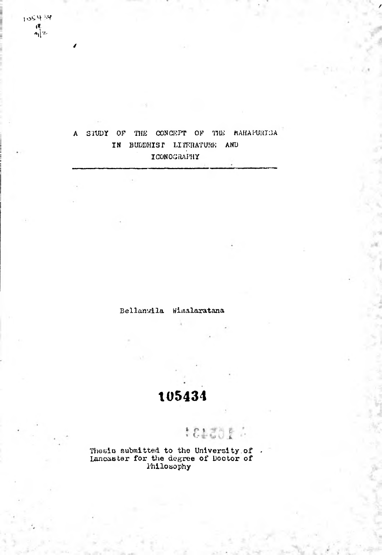105434  $\frac{1}{2}$ 

### A SIUDY OF THE CONCEPT OF THE MAHAPURISA IN BUDDHIST LITERATURE AND ICONOGRAPHY

Bellanwila Wimalaratana

## 105434

1813054

Thesis submitted to the University of<br>Lancaster for the degree of Doctor of<br>Philosophy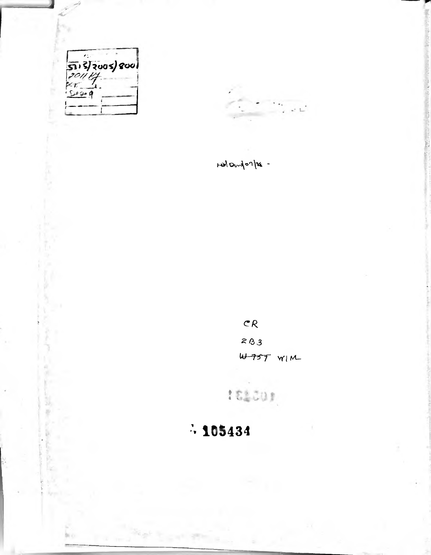



Holandonler -

 $CR$  $283$  $4757$  WIM

**ISSON** 

# $\cdot$  105434

Frank St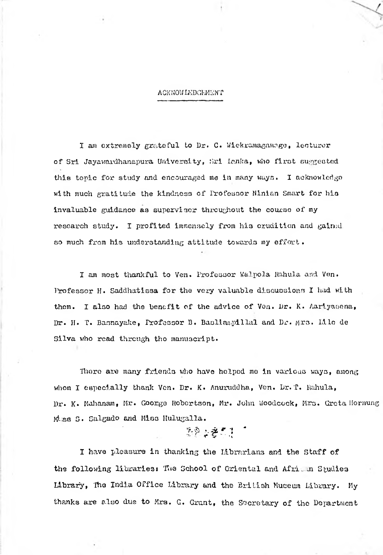#### ACKNOWIEDGEMENT

I am extremely grateful to Dr. G. Wiekramagamage, lecturer of Sri Jayawardhanapura University, Sri Lenka, who first suggested this topic for study and encouraged me in many ways. I acknowledge with much gratitude the kindness of Professor Hlnian Smart for his invaluable guidance as supervisor throughout the course of my research study. I profited immensely from his erudition and gained so much from his understanding attitude towards my effort.

I am most thankful to Ven. Professor Walpola Rahula and Ven. Professor H. Saddhatissa for the very valuable discussions I had with I also had the benefit of the advice of Ven. Dr. K. Aarlyasena, Dr. H. T. Basnayake, Professor R. Basilan.piHal and Dr. Mrs. Lllc de Silva who read through tho manuscript. them.

There are many friends who have helped mo in various ways, among whom I especially thank Ven. Dr. K. Anuruddha, Ven. Dr. T. Hahula, Dr. K. Mahanam, Mr. George Robertson, Mr. John Woodcock, Mrs. Greta Hornung Miss S. Salgado and Miss Hulugalla.

## *%-b* \* *i* \* \*r L\* V •» *(*

I have pleasure in thanking the Librarians and the Staff of the following librariesi The School of Griental and African Studies Library, The India Office Library and the British Museum Library. My thanks are also due to Mrs. G. Grant, the Secretary of the Department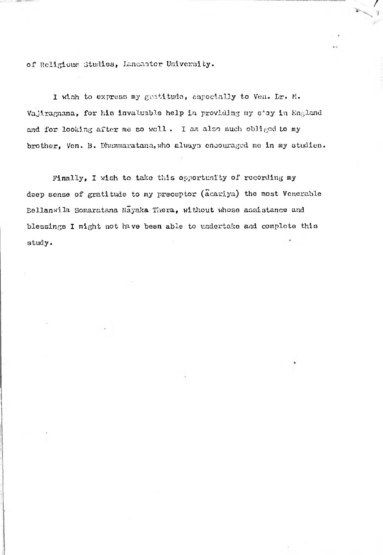of Religious Studies, Lancaster University.

I wish to express my gratitude, especially to Ven. Lr. M. Vajiragnana, for his invaluable help in providing my stay in England and for looking after me so well. I am also much obliged to my brother, Ven. B. Dhammaratana, who always encouraged me in my studies. /

Finally, I wish to tako this opportunity of recording my deep sense of gratitude to my preceptor (acariya) the most Venerable Bellanwila Somaratana Nayaka Thera, without whose assistance and blessings I might not have been able to undertake and complete this study•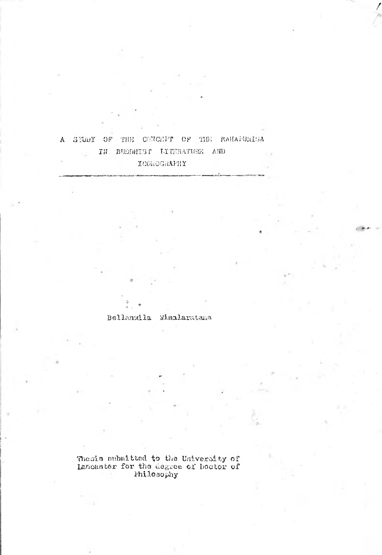#### CONCEPT OF THE MAHAPURISA A STUDY OF THE IN BUDDHIST LITERATURE AND  $\sim$   $\times$ ICOROGRAPHY

#### Bellanuila Wimalarutana

Thesis submitted to the University of<br>Lancaster for the degree of Doctor of<br>Philosophy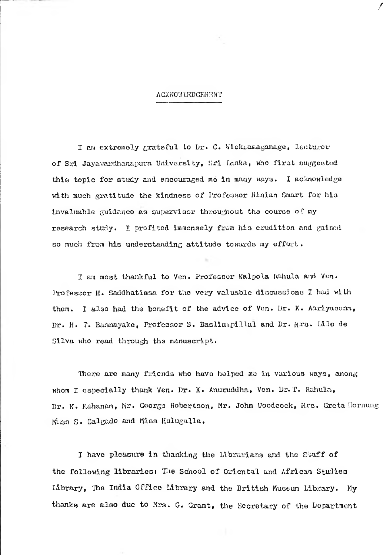#### ACKNOWIKDGEMKNT

*f*

I am extremely grateful to Dr. G. Wiekramagnmage, lecturor of Sri Jayawardhanapura University, Sri Lanka, who first suggested this topic for study and encouraged me in many ways. I acknowledge with much gratitude the kindness of Professor Ninian Smart for his invaluable guidance as supervisor throughout tho course of my research study. I profited immensely from his erudition and gained. so much from his understanding attitude towards my effort.

I am most thankful to Ven. Professor Walpola Kahula and Ven. Professor H. Saddhatissa for tho very valuable discussions I had with I also had the benefit of the advice of Ven. Dr. K. Aarlyasena, Dr. H. T. Basnayake, Professor B. Basliampillal and Dr. Mrs. Lile de them. Silva who read through the manuscript.

There are many friends who have helped mo in various ways, among whom I especially thank Ven. Dr. K. Anuruddha, Ven. Dr. T. Rahula, Dr. K. Mahanam, Mr. George Robertson, Mr. John Woodcock, Mrs. Greta Ilornung Mliso s. Salgado and Miss Hulugalla.

I have pleasure in thanking tho librarians and the Ctaff of the following libraries: The School of Oriental and African Studies Library, Tho India Office Library and the British Museum Library. My thanks are also due to Mrs. G. Grant, the Secretary of the Department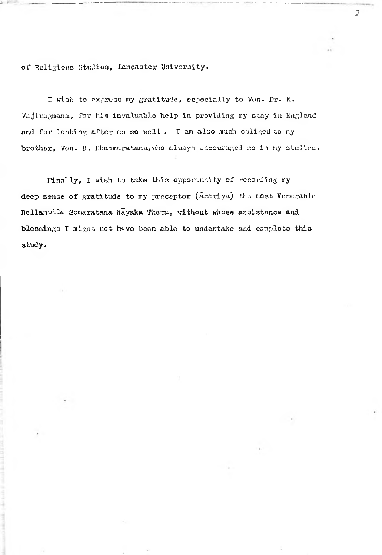of Religious Studios, Lancaster University.

**Ill .**

I wish to express my gratitude, especially to Ven. Dr. M. Vajiragnana, for his invaluable help in providing my stay in Eagland and for looking after me so well. I am also much obliged to my brother, Von. B. Dhammaratana, who always encouraged me in my studies. *n*

Finally, I wish to take this opportunity of recording my deep sense of gratitude to my preceptor  $(a^{\text{cent}}ya)$  the most Venerable Bellanwila Somaratana Nayaka Thera, without whose assistance and blessings I might not have been able to undertake and complete this study.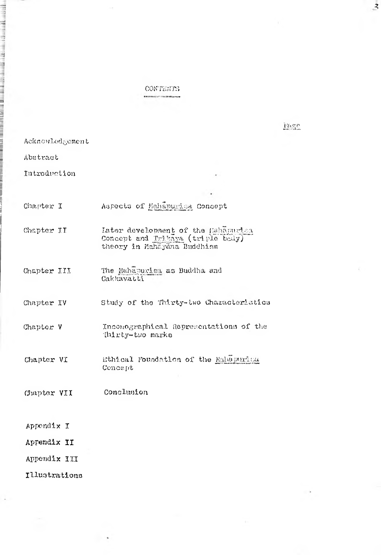**CONTERTS** ein mann  $\overline{z}$ 

Page

Acknowledgement

Abstract

بأملاء الملياء بلهما بالأم

**THE REAL PROPERTY AND INCOME.** 

Introduction

| Chapter I | Aspects of Mahapurisa Concept |  |
|-----------|-------------------------------|--|
|-----------|-------------------------------|--|

- Later development of the Hahamurian Concept and Trikaya (triple body) Chapter II theory in Mahayana Buddhism
- The Mahapurisa as Buddha and Cakkavatti Chapter III

Chapter IV Study of the Thirty-two Characteristics

- Inconographical Representations of the Chapter V Thirty-two marks
- Chapter VI Ethical Foundation of the Mahapurica Concept
- Conclusion Chapter VII
- Appendix I
- Appendix II
- Appendix III
- Illustrations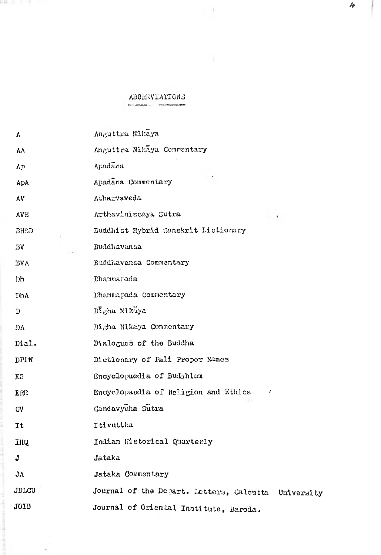## ABBREVIATIONS

------

 $\sim 100$ 

14 March 11 - 19

automotive in an announcement of the community of the community of

l

 $\cdot$ 

| A            | Anguttra Nikaya                                     |
|--------------|-----------------------------------------------------|
| AΛ           | Anguttra Nikaya Commentary                          |
| Ap           | Apadana                                             |
| ApA          | Apadana Commentary                                  |
| AV           | Atharvaveda                                         |
| <b>AVS</b>   | Arthaviniscaya Sutra                                |
| BHSD         | Buddhist Hybrid Sanskrit Lictionary                 |
| $\mathbf{B}$ | Buddhavansa                                         |
| <b>BVA</b>   | Buddhavansa Commentary                              |
| Dh           | Dhammapada                                          |
| <b>I</b> hA  | Dhammapada Commentary                               |
| D            | Digha Nikaya                                        |
| DΛ           | Digha Nikaya Commentary                             |
| Dial.        | Dialogues of the Buddha                             |
| <b>DPPN</b>  | Dictionary of Pali Proper Names                     |
| <b>EB</b>    | Encyclopaedia of Buddhism                           |
| <b>ERE</b>   | Encyclopaedia of Religion and Ethics<br>1           |
| GV           | Gandavyuha Sutra                                    |
| It           | Itivuttka                                           |
| IRQ          | Indian Historical Quarterly                         |
| J            | Jataka                                              |
| JΑ           | Jataka Commentary                                   |
| JDLCU        | Journal of the Depart. Letters, Calcutta University |
| JOIB         | Journal of Oriental Institute, Baroda.              |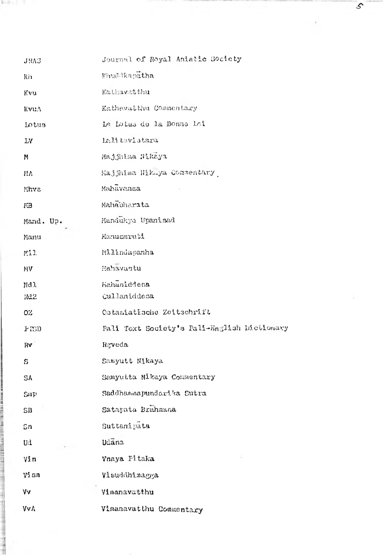| <b>JRAS</b>  | Journal of Royal Asiatic Society            |
|--------------|---------------------------------------------|
| K'n          | Kinuddkapatha                               |
| Kvu          | Kathavatthu                                 |
| KvuA         | Kathawatthu Commentary                      |
| Lotus        | Le Lotus de la Bonne Loi                    |
| <b>IV</b>    | Lalitavistara                               |
| M            | Majjhima Nikaya                             |
| MА           | Majjhima Nikaya Commentary                  |
| Mhvs         | Mahavansa                                   |
| FВ           | Mahabharata                                 |
| Mand. Up.    | Mandukya Upanisad                           |
| Manu         | Manuemruti                                  |
| Mil.         | Milindapanha                                |
| NV.          | Mahavastu                                   |
| Nd.1         | Mahaniddesa                                 |
| 3d2          | Cullaniddesa                                |
| OZ.          | Ostasiatische Zeitschrift                   |
| F(S)         | Pali Text Society's Pali-English Dictionary |
| Rv           | Rgveda                                      |
| S            | Samyutt Nikaya                              |
| SA           | Samyutta Nikaya Commentary                  |
| Smp          | Saddhammapundarika Sutra                    |
| SB           | Satapata Brahmana                           |
| 5n           | Suttanipata                                 |
| $\mathbf{u}$ | Udana                                       |
| $V_2^n$      | Vnaya Pitaka                                |
| $V_2$ .cm    | Visuddhimagga                               |
| Vv           | Vimanavatthu                                |
| <b>VVA</b>   | Vimanavatthu Commentary                     |

**MARKET ST** 

- *■s*

 $\mathcal{S}$ 

 $\alpha$ 

 $\mathcal{F}$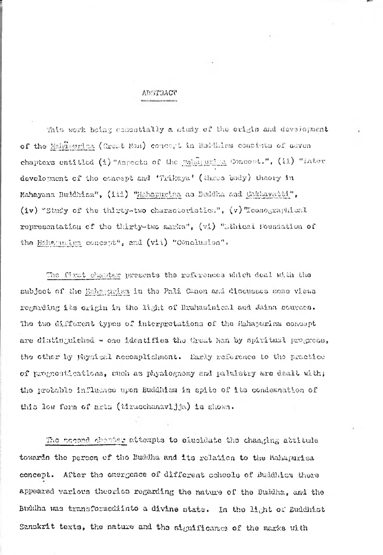#### ABSTRACT

This work being essentially a study of the origin and development of the Maha*onrlz<\* (Great Mail) concert in Buddhism consists of seven chapters entitled  $(1)$  "Aspects of the Mahapuring Concept.",  $(i)$  "Later development of the concept and 'Trikaya' (three body) theory in Mahayana Buddhism", (111) "Mahapurlsa ao Buddha and Cakkayatti", (iv) "Study of the thirty-two characteristics",  $(v)$  Teonographical representation of the thirty-two marks",  $(v_1)$  "Ethical Foundation of the Haharunian concept", and (vii) "Conclusion".

The first chapter presents the references which deal with the subject of the Hahagarisa in the Pali Canon and discusses some views regarding its origin in tho light of Brahaiainical and Jaina cources. 'Ihe two clifforont types of interpretations of the Mahapurl aa concept are distinguished - one identifies the Great Man by spiritual progress, tho other by physi cal accomplishment. Early reference to tho practice of prognostications, such as physiognomy and palmistry are dealt with; tho probable influence upon Buddhism in spite of its condemnation of this low form of arts (tiracchanavijja) la shown.

The cocond chanter attempts to elucidate the changing attitude towards the person of the Buddha and its relation to the Mahapurisa concept. After tho emergence of different schools of Buddhism there appeared various theories regarding the nature of tho Buddha, and the Buddha was transformediinto a divine state. In the light of Buddhist Sanskrit texts, the nature and the significance of the marks with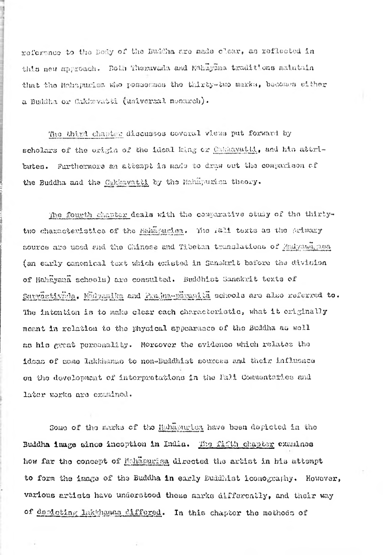reference to the Body of the Buddha aro made clear, as reflected in this new approach. Both Theruvada and Mahayana traditions maintain that the Mahapurisa who poscsonaos the thirty-two marks, **become®** either a Buddha or Caktevatti (universal monarch) •

**1** *i*

> The third chapter discusses several views put forward by scholars of the origin of the ideal king or Cakkavat11, and his attributes. Furthermore an attempt is made to draw out the comparison of the Buddha and the Cakkavatti by the Mahajwarina theory.

The fourth chapter deals with the comparative study of the thirtytwo characteristics of the Mehapurlea. The Fali texts as the primary source are used and the Chinese and Tibetan translations of Madyami, and (an early canonical text which existed in Sanskrit before the division of Mahayana schools) are consulted. Buddhist banekrit texts of Survastivhda, Madyamika and Itajna~paman).ta schools are also referred to. The intention is to make clear each characteristic, what it originally meant in relation to the physical appearance of the Buddha as woll as his great personality. Moreover the evidence which relates the ideas of come lakkiianao to non-Buddhist sources and their influence on the development of interpretations in the Pali Commentaries and later works are examined.

Some of the marks of the Mahapurica have been depicted in the Buddh<mark>a image since inception in India.</mark> The fifth chapter examines how far the concept of Mchapurisa directed the artist in his attempt to form the image of tho **Buddha** in early Buddhist iconography, However, various artists have understood these marks differently, and their way of depicting lakkhanas differed. In this chapter the methods of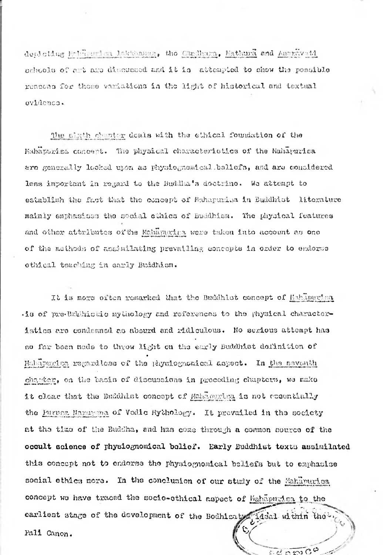deploting Muhhourian lakkhamas, the Condhame, Mathura and Americanti schuols of ant and discussed and it is attempted to show the possible reasons for these variations in the light of historical and textual evidence.

The slath chapter deals with the ethical foundation of the Habapurisa concept. The physical characteristics of the Mahapurica are generally locked upon as physiognomical ballefs, and are considered less important in regard to the Buddha's doctrine. We attempt to establish the fact that the concept of Mahapunius in Buddhist literature mainly emphasises the social cthics of Buddhism. The physical features and other attributes of the Mahapucies were taken into account as one of the methods of assimilating prevailing concepts in order to endorse othical teaching in early Buidhism.

It is more often remarked that the Buddhlet concept of Hahlpurina .is of pre-Brahistic mythology and references to the physical characteristics are condemned as absurd and ridiculous. No serious attempt has so far been mode to throw Mght on the early Buddhist definition of Mahapunisa regardless of the physiognomical aspect. In the seventh charter, on the basis of discussions in proceding chapters, we make it clear that the Buddrist concept of Mahapurism is not eccentially the Puruse Narayuna of Vedic Hythology. It prevailed in the society at the time of the Buddha, and has come through a common source of the occult science of physiognomical bolief. Early Buddhist texts assimilated this concept not to endorse the physiognomical beliefs but to emphasise social ethics more. In the conclusion of our study of the Mahapurica concept we have traced the socio-ethical aspect of Mahapurisa to the earliest stage of the development of the Bodhisaty 14sal within the Pali Canon.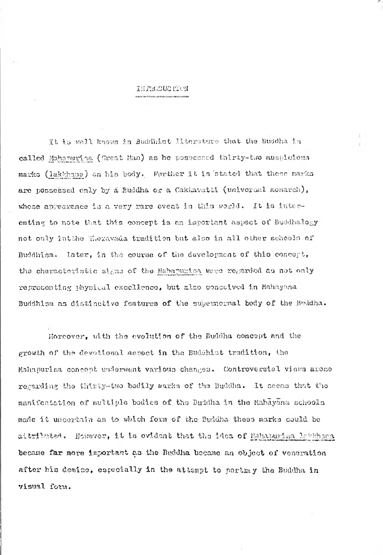#### IHriiCDUCflON

It is well known in Buddhist Hiterature that the Buddha is called Mahanurisa (Croat Man) as he possessed thirty-two auspicious marks (lakkhana) on his body. Further it is stated that those marks are possessed only by a Buddha or a Cakkavatti (universal monarch), whose appearance is a very rare event in this world. It is intereating to note that this concept is an important aspect of Buddhalogy not only intthe Theravada tradition but also in all other schools of Buddhism. later, in the course of the development of thio concept, the characteristic signs of the MahapurIsa were regarded as not only representing physical excellence, but also conceived in Mahayuna Buddhism as distinctive features of the supernormal body of the Buddha.

Moreover, with the evolution of the Buddha concept and the growth of the devotional aspect in the Buddhist tradition, the Mahapurlsa concept underwent various changes. Controversial views arose regarding the thirty-two bodily marks of the Buddha, It seems that the manifestation of multiple bodies of the Buddha in the Mahayana schools made it uncertain as to which form of the Buddha these marks could be aitributed. However, it is ovident that the idea of Mahanuriaa lakkhana became far more important aa the Buddha became an object of veneration after his demise, especially in the attempt to portmy the Buddha in visual form.